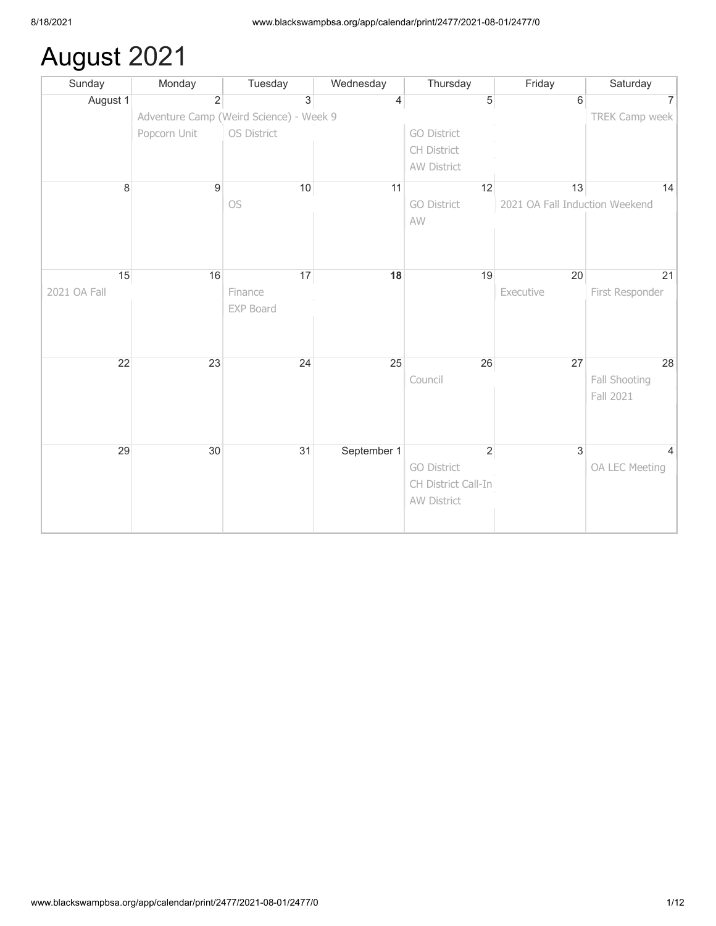## August 2021

| Sunday       | Monday         | Tuesday                                 | Wednesday      | Thursday            | Friday                         | Saturday        |
|--------------|----------------|-----------------------------------------|----------------|---------------------|--------------------------------|-----------------|
| August 1     | $\overline{2}$ | $\overline{3}$                          | $\overline{4}$ | $\overline{5}$      | 6                              | 7               |
|              |                | Adventure Camp (Weird Science) - Week 9 |                |                     |                                | TREK Camp week  |
|              | Popcorn Unit   | OS District                             |                | <b>GO District</b>  |                                |                 |
|              |                |                                         |                | CH District         |                                |                 |
|              |                |                                         |                | AW District         |                                |                 |
| 8            | $9\,$          | 10                                      | 11             | 12                  | 13                             | 14              |
|              |                | OS                                      |                | <b>GO District</b>  | 2021 OA Fall Induction Weekend |                 |
|              |                |                                         |                | AW                  |                                |                 |
|              |                |                                         |                |                     |                                |                 |
|              |                |                                         |                |                     |                                |                 |
| 15           | 16             | 17                                      | 18             | 19                  | 20                             | 21              |
| 2021 OA Fall |                | Finance                                 |                |                     | Executive                      | First Responder |
|              |                | EXP Board                               |                |                     |                                |                 |
|              |                |                                         |                |                     |                                |                 |
|              |                |                                         |                |                     |                                |                 |
| 22           | 23             | 24                                      | 25             | 26                  | 27                             | 28              |
|              |                |                                         |                | Council             |                                | Fall Shooting   |
|              |                |                                         |                |                     |                                | Fall 2021       |
|              |                |                                         |                |                     |                                |                 |
|              |                |                                         |                |                     |                                |                 |
| 29           | 30             | 31                                      | September 1    | $\sqrt{2}$          | $\overline{3}$                 |                 |
|              |                |                                         |                | <b>GO District</b>  |                                | OA LEC Meeting  |
|              |                |                                         |                | CH District Call-In |                                |                 |
|              |                |                                         |                | AW District         |                                |                 |
|              |                |                                         |                |                     |                                |                 |
|              |                |                                         |                |                     |                                |                 |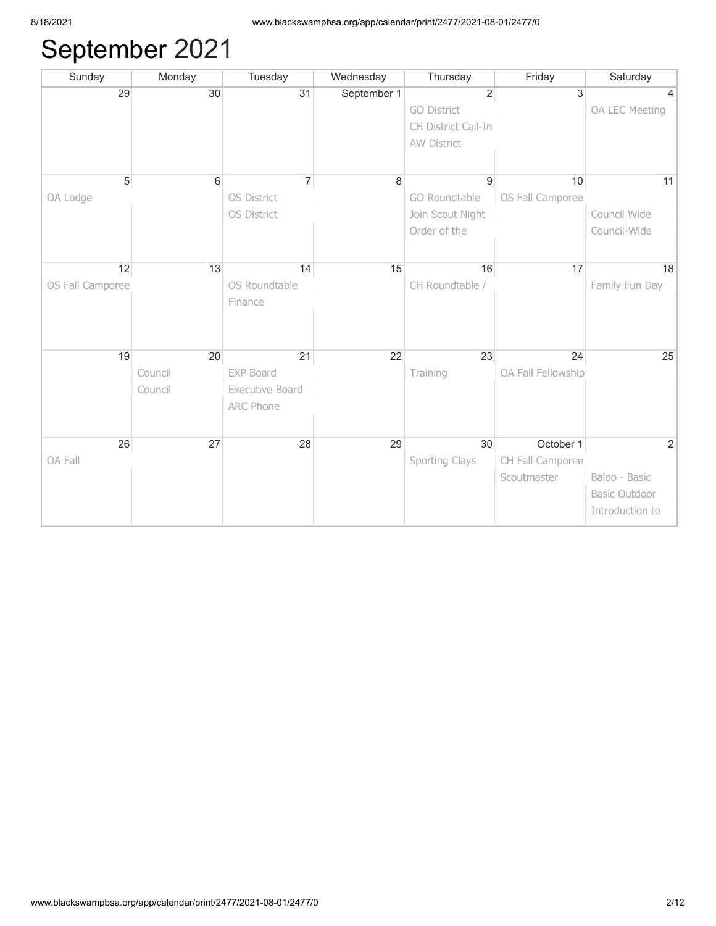## September 2021

| Sunday           | Monday  | Tuesday            | Wednesday   | Thursday            | Friday             | Saturday             |
|------------------|---------|--------------------|-------------|---------------------|--------------------|----------------------|
| 29               | 30      | 31                 | September 1 | $\overline{2}$      | 3                  |                      |
|                  |         |                    |             | <b>GO District</b>  |                    | OA LEC Meeting       |
|                  |         |                    |             | CH District Call-In |                    |                      |
|                  |         |                    |             | AW District         |                    |                      |
|                  |         |                    |             |                     |                    |                      |
| $\sqrt{5}$       | 6       | $\overline{7}$     | 8           | 9                   | 10                 | 11                   |
| OA Lodge         |         | <b>OS District</b> |             | GO Roundtable       | OS Fall Camporee   |                      |
|                  |         | OS District        |             | Join Scout Night    |                    | Council Wide         |
|                  |         |                    |             | Order of the        |                    | Council-Wide         |
|                  |         |                    |             |                     |                    |                      |
| 12               | 13      | 14                 | 15          | 16                  | 17                 | 18                   |
| OS Fall Camporee |         | OS Roundtable      |             | CH Roundtable /     |                    | Family Fun Day       |
|                  |         | Finance            |             |                     |                    |                      |
|                  |         |                    |             |                     |                    |                      |
|                  |         |                    |             |                     |                    |                      |
|                  |         |                    |             |                     |                    |                      |
| 19               | 20      | 21                 | 22          | 23                  | 24                 | 25                   |
|                  | Council | EXP Board          |             | Training            | OA Fall Fellowship |                      |
|                  | Council | Executive Board    |             |                     |                    |                      |
|                  |         | <b>ARC Phone</b>   |             |                     |                    |                      |
|                  |         |                    |             |                     |                    |                      |
| 26               | 27      | 28                 | 29          | 30                  | October 1          | 2                    |
| OA Fall          |         |                    |             | Sporting Clays      | CH Fall Camporee   |                      |
|                  |         |                    |             |                     | Scoutmaster        | Baloo - Basic        |
|                  |         |                    |             |                     |                    | <b>Basic Outdoor</b> |
|                  |         |                    |             |                     |                    | Introduction to      |
|                  |         |                    |             |                     |                    |                      |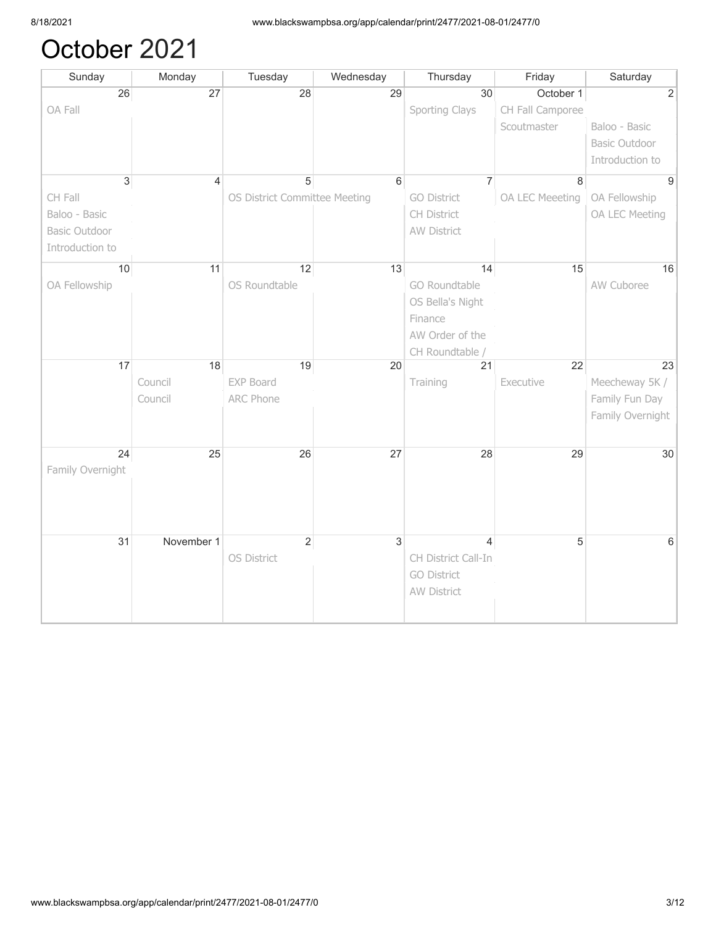## October 2021

| Sunday               | Monday                   | Tuesday                       | Wednesday      | Thursday            | Friday           | Saturday             |
|----------------------|--------------------------|-------------------------------|----------------|---------------------|------------------|----------------------|
| 26                   | $\overline{27}$          | 28                            | 29             | 30                  | October 1        | $\overline{2}$       |
| OA Fall              |                          |                               |                | Sporting Clays      | CH Fall Camporee |                      |
|                      |                          |                               |                |                     | Scoutmaster      | Baloo - Basic        |
|                      |                          |                               |                |                     |                  | <b>Basic Outdoor</b> |
|                      |                          |                               |                |                     |                  | Introduction to      |
| $\overline{3}$       | $\overline{\mathcal{L}}$ | 5                             | 6              | $\overline{7}$      | 8                | $\overline{9}$       |
| CH Fall              |                          | OS District Committee Meeting |                | <b>GO District</b>  | OA LEC Meeeting  | OA Fellowship        |
| Baloo - Basic        |                          |                               |                | CH District         |                  | OA LEC Meeting       |
| <b>Basic Outdoor</b> |                          |                               |                | <b>AW District</b>  |                  |                      |
| Introduction to      |                          |                               |                |                     |                  |                      |
|                      |                          |                               |                |                     |                  |                      |
| 10                   | 11                       | 12                            | 13             | 14                  | 15               | 16                   |
| OA Fellowship        |                          | OS Roundtable                 |                | GO Roundtable       |                  | AW Cuboree           |
|                      |                          |                               |                | OS Bella's Night    |                  |                      |
|                      |                          |                               |                | Finance             |                  |                      |
|                      |                          |                               |                | AW Order of the     |                  |                      |
|                      |                          |                               |                | CH Roundtable /     |                  |                      |
| 17                   | 18                       | 19                            | 20             | 21                  | 22               | 23                   |
|                      | Council                  | <b>EXP Board</b>              |                | Training            | Executive        | Meecheway 5K /       |
|                      | Council                  | <b>ARC Phone</b>              |                |                     |                  | Family Fun Day       |
|                      |                          |                               |                |                     |                  | Family Overnight     |
|                      |                          |                               |                |                     |                  |                      |
| 24                   | 25                       | 26                            | 27             | 28                  | 29               | 30                   |
| Family Overnight     |                          |                               |                |                     |                  |                      |
|                      |                          |                               |                |                     |                  |                      |
|                      |                          |                               |                |                     |                  |                      |
|                      |                          |                               |                |                     |                  |                      |
|                      |                          |                               |                |                     |                  |                      |
| 31                   | November 1               | $\overline{2}$                | $\overline{3}$ | $\overline{4}$      | 5                | $6\phantom{a}$       |
|                      |                          | OS District                   |                | CH District Call-In |                  |                      |
|                      |                          |                               |                | <b>GO District</b>  |                  |                      |
|                      |                          |                               |                | AW District         |                  |                      |
|                      |                          |                               |                |                     |                  |                      |
|                      |                          |                               |                |                     |                  |                      |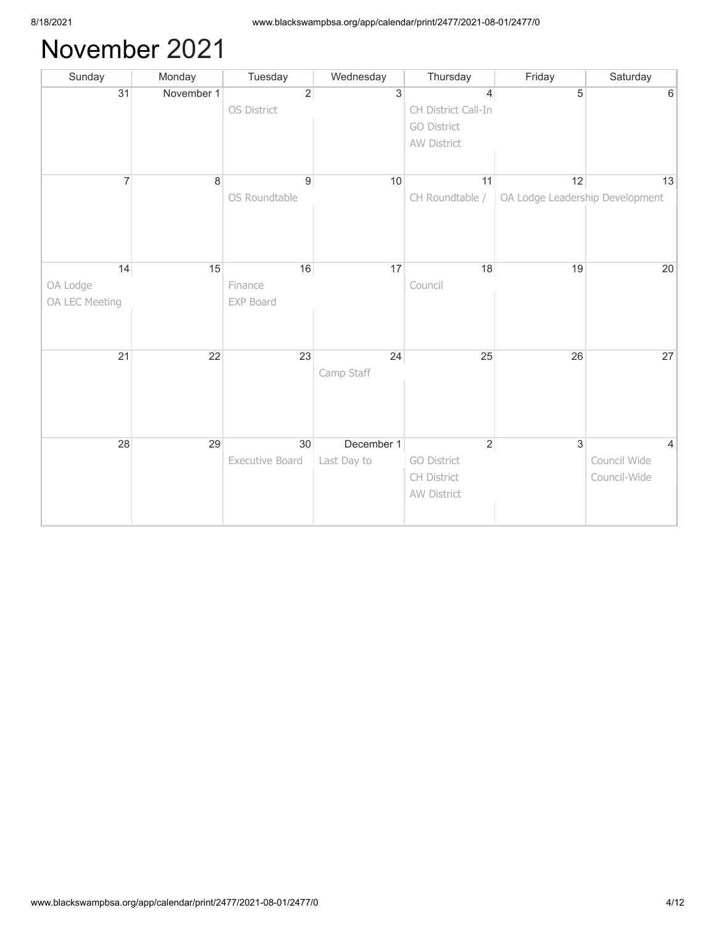## November 2021

| Sunday         | Monday     | Tuesday          | Wednesday      | Thursday            | Friday                          | Saturday       |
|----------------|------------|------------------|----------------|---------------------|---------------------------------|----------------|
| 31             | November 1 | $\overline{2}$   | $\overline{3}$ | 4                   | 5                               | 6              |
|                |            | OS District      |                | CH District Call-In |                                 |                |
|                |            |                  |                | <b>GO District</b>  |                                 |                |
|                |            |                  |                | AW District         |                                 |                |
|                |            |                  |                |                     |                                 |                |
| $\overline{7}$ | $\,8\,$    | $\boldsymbol{9}$ | 10             | 11                  | 12                              | 13             |
|                |            | OS Roundtable    |                | CH Roundtable /     | OA Lodge Leadership Development |                |
|                |            |                  |                |                     |                                 |                |
|                |            |                  |                |                     |                                 |                |
|                |            |                  |                |                     |                                 |                |
| 14             | 15         | 16               | 17             | 18                  | 19                              | 20             |
|                |            | Finance          |                | Council             |                                 |                |
| OA Lodge       |            |                  |                |                     |                                 |                |
| OA LEC Meeting |            | EXP Board        |                |                     |                                 |                |
|                |            |                  |                |                     |                                 |                |
|                |            |                  |                |                     |                                 |                |
| 21             | 22         | 23               | 24             | 25                  | 26                              | 27             |
|                |            |                  | Camp Staff     |                     |                                 |                |
|                |            |                  |                |                     |                                 |                |
|                |            |                  |                |                     |                                 |                |
|                |            |                  |                |                     |                                 |                |
| 28             | 29         | 30               | December 1     | $\sqrt{2}$          | $\overline{3}$                  | $\overline{4}$ |
|                |            | Executive Board  | Last Day to    | <b>GO District</b>  |                                 | Council Wide   |
|                |            |                  |                | CH District         |                                 | Council-Wide   |
|                |            |                  |                | AW District         |                                 |                |
|                |            |                  |                |                     |                                 |                |
|                |            |                  |                |                     |                                 |                |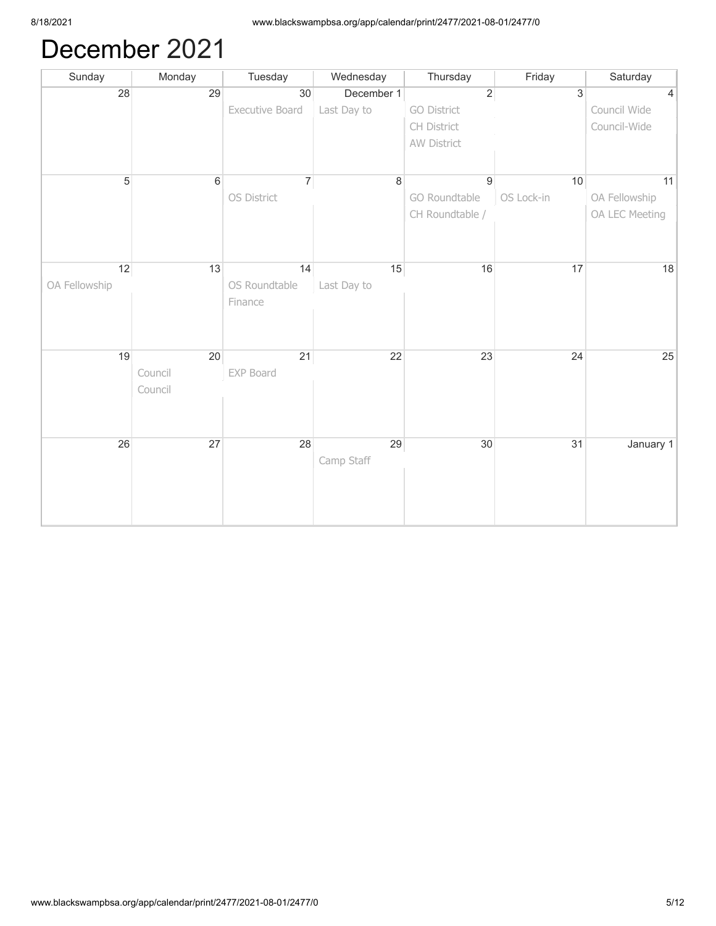## December 2021

| Sunday        | Monday          | Tuesday         | Wednesday   | Thursday           | Friday     | Saturday       |
|---------------|-----------------|-----------------|-------------|--------------------|------------|----------------|
| 28            | 29              | 30              | December 1  | $\overline{2}$     | 3          | $\overline{4}$ |
|               |                 | Executive Board | Last Day to | <b>GO District</b> |            | Council Wide   |
|               |                 |                 |             | CH District        |            | Council-Wide   |
|               |                 |                 |             | AW District        |            |                |
|               |                 |                 |             |                    |            |                |
| $\sqrt{5}$    | $6\phantom{1}6$ | $\overline{7}$  | 8           | 9                  | 10         | 11             |
|               |                 | OS District     |             | GO Roundtable      | OS Lock-in | OA Fellowship  |
|               |                 |                 |             | CH Roundtable /    |            | OA LEC Meeting |
|               |                 |                 |             |                    |            |                |
|               |                 |                 |             |                    |            |                |
|               |                 |                 |             |                    |            |                |
| 12            | 13              | 14              | 15          | 16                 | 17         | 18             |
| OA Fellowship |                 | OS Roundtable   | Last Day to |                    |            |                |
|               |                 | Finance         |             |                    |            |                |
|               |                 |                 |             |                    |            |                |
|               |                 |                 |             |                    |            |                |
| 19            | 20              | 21              | 22          | 23                 | 24         | 25             |
|               | Council         | EXP Board       |             |                    |            |                |
|               | Council         |                 |             |                    |            |                |
|               |                 |                 |             |                    |            |                |
|               |                 |                 |             |                    |            |                |
| 26            | 27              | 28              | 29          | 30                 | 31         | January 1      |
|               |                 |                 | Camp Staff  |                    |            |                |
|               |                 |                 |             |                    |            |                |
|               |                 |                 |             |                    |            |                |
|               |                 |                 |             |                    |            |                |
|               |                 |                 |             |                    |            |                |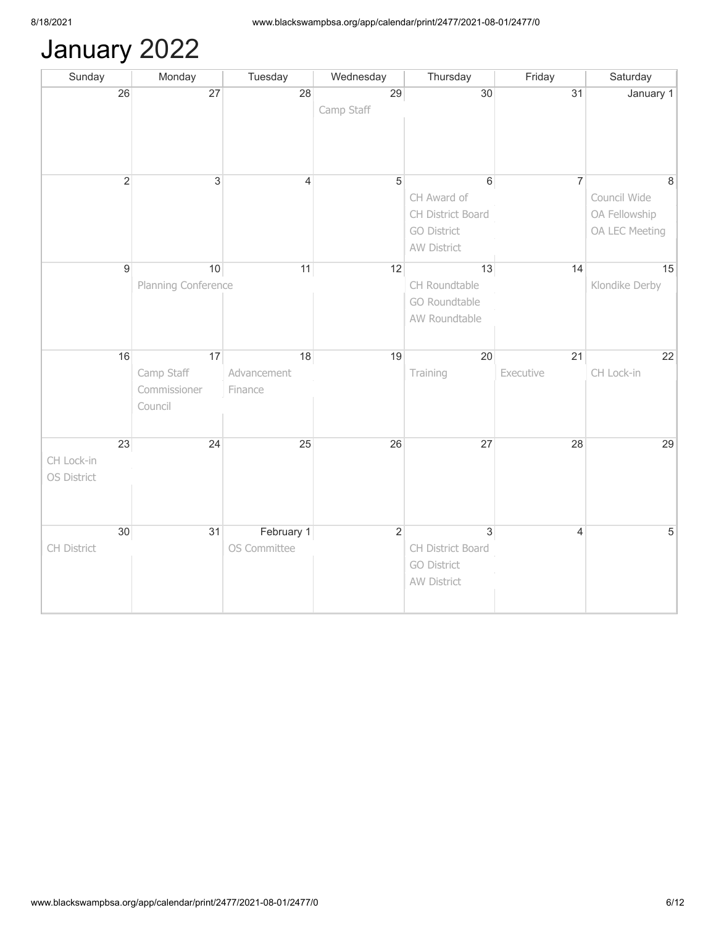# January 2022

| Sunday      |                | Monday              | Tuesday        | Wednesday      | Thursday           | Friday         | Saturday       |
|-------------|----------------|---------------------|----------------|----------------|--------------------|----------------|----------------|
|             | 26             | 27                  | 28             | 29             | 30                 | 31             | January 1      |
|             |                |                     |                | Camp Staff     |                    |                |                |
|             |                |                     |                |                |                    |                |                |
|             |                |                     |                |                |                    |                |                |
|             |                |                     |                |                |                    |                |                |
|             | $\overline{2}$ | $\overline{3}$      | $\overline{4}$ | $\overline{5}$ | $\,6\,$            | $\overline{7}$ | 8              |
|             |                |                     |                |                | CH Award of        |                | Council Wide   |
|             |                |                     |                |                | CH District Board  |                | OA Fellowship  |
|             |                |                     |                |                | <b>GO District</b> |                | OA LEC Meeting |
|             |                |                     |                |                | AW District        |                |                |
|             |                |                     |                |                |                    |                |                |
|             | $\overline{9}$ | 10                  | 11             | 12             | 13                 | 14             | 15             |
|             |                | Planning Conference |                |                | CH Roundtable      |                | Klondike Derby |
|             |                |                     |                |                | GO Roundtable      |                |                |
|             |                |                     |                |                | AW Roundtable      |                |                |
|             |                |                     |                |                |                    |                |                |
|             | 16             | 17                  | 18             | 19             | 20                 | 21             | 22             |
|             |                | Camp Staff          | Advancement    |                | Training           | Executive      | CH Lock-in     |
|             |                | Commissioner        | Finance        |                |                    |                |                |
|             |                | Council             |                |                |                    |                |                |
|             |                |                     |                |                |                    |                |                |
|             | 23             | 24                  | 25             | 26             | 27                 | 28             | 29             |
| CH Lock-in  |                |                     |                |                |                    |                |                |
| OS District |                |                     |                |                |                    |                |                |
|             |                |                     |                |                |                    |                |                |
|             |                |                     |                |                |                    |                |                |
|             |                |                     |                |                |                    |                |                |
|             | 30             | 31                  | February 1     | $\overline{2}$ | $\overline{3}$     | $\overline{4}$ | $\sqrt{5}$     |
| CH District |                |                     | OS Committee   |                | CH District Board  |                |                |
|             |                |                     |                |                | <b>GO District</b> |                |                |
|             |                |                     |                |                | AW District        |                |                |
|             |                |                     |                |                |                    |                |                |
|             |                |                     |                |                |                    |                |                |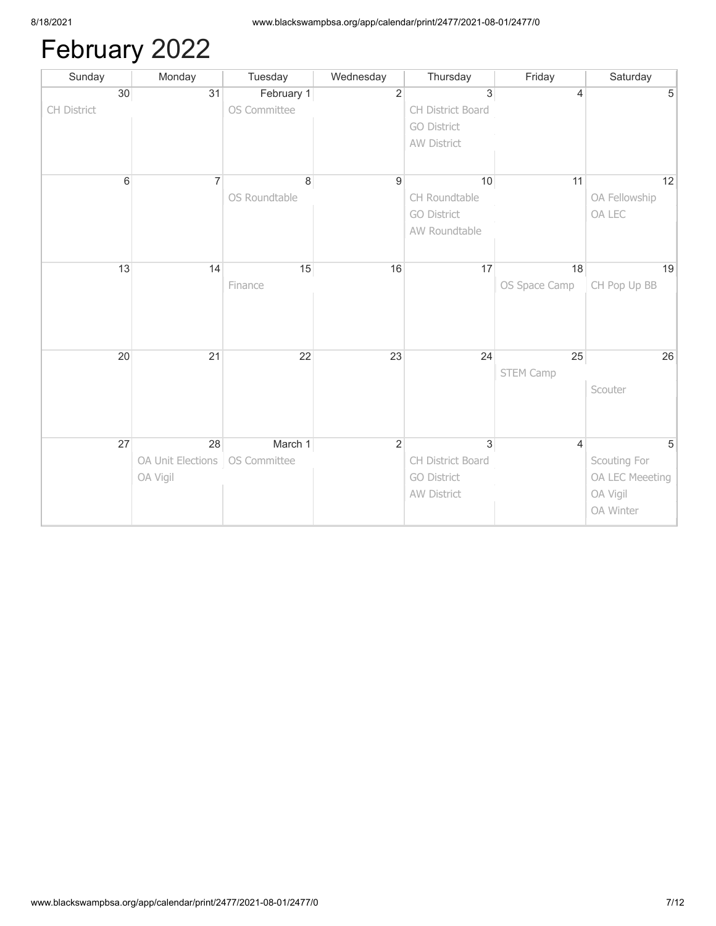# February 2022

| Sunday         | Monday            | Tuesday       | Wednesday      | Thursday           | Friday         | Saturday        |
|----------------|-------------------|---------------|----------------|--------------------|----------------|-----------------|
| 30             | 31                | February 1    | $\overline{2}$ | 3                  | 4              | 5               |
| CH District    |                   | OS Committee  |                | CH District Board  |                |                 |
|                |                   |               |                | <b>GO District</b> |                |                 |
|                |                   |               |                | AW District        |                |                 |
|                |                   |               |                |                    |                |                 |
| $6\phantom{a}$ | $\overline{7}$    | $\bf{8}$      | 9              | 10                 | 11             | 12              |
|                |                   | OS Roundtable |                | CH Roundtable      |                | OA Fellowship   |
|                |                   |               |                | <b>GO District</b> |                | OA LEC          |
|                |                   |               |                | AW Roundtable      |                |                 |
|                |                   |               |                |                    |                |                 |
| 13             | 14                | 15            | 16             | 17                 | 18             | 19              |
|                |                   | Finance       |                |                    | OS Space Camp  | CH Pop Up BB    |
|                |                   |               |                |                    |                |                 |
|                |                   |               |                |                    |                |                 |
|                |                   |               |                |                    |                |                 |
|                | 21                | 22            |                |                    |                |                 |
| 20             |                   |               | 23             | 24                 | 25             | 26              |
|                |                   |               |                |                    | STEM Camp      | Scouter         |
|                |                   |               |                |                    |                |                 |
|                |                   |               |                |                    |                |                 |
|                |                   |               |                |                    |                |                 |
| 27             | 28                | March 1       | $\overline{2}$ | $\overline{3}$     | $\overline{4}$ | 5               |
|                | OA Unit Elections | OS Committee  |                | CH District Board  |                | Scouting For    |
|                | OA Vigil          |               |                | <b>GO District</b> |                | OA LEC Meeeting |
|                |                   |               |                | AW District        |                | OA Vigil        |
|                |                   |               |                |                    |                | OA Winter       |
|                |                   |               |                |                    |                |                 |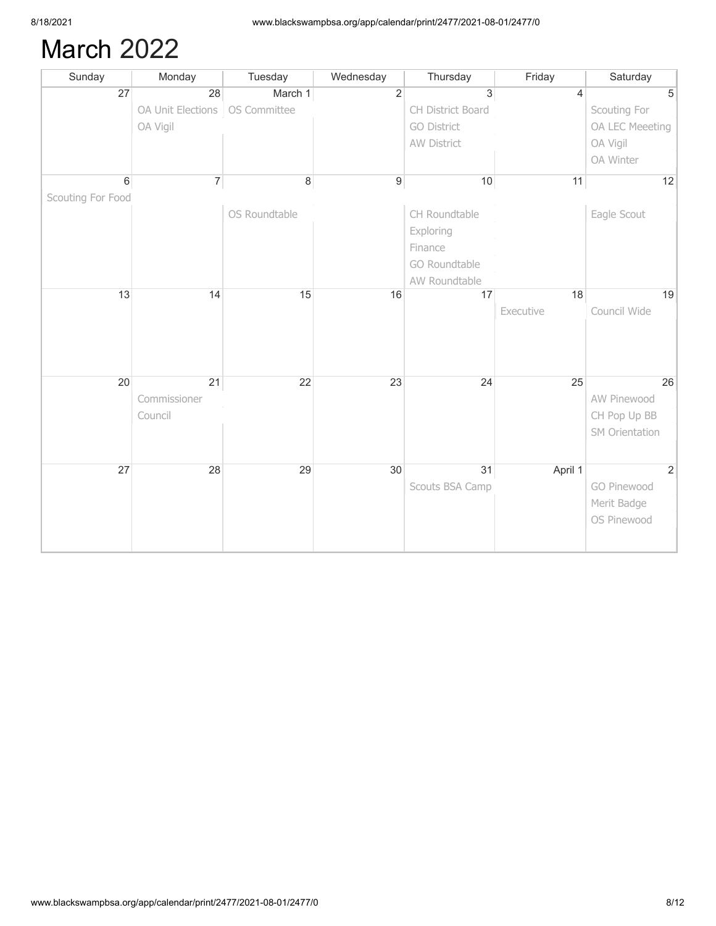### March 2022

| Sunday            | Monday                           | Tuesday       | Wednesday        | Thursday           | Friday    | Saturday        |
|-------------------|----------------------------------|---------------|------------------|--------------------|-----------|-----------------|
| 27                | 28                               | March 1       | $\overline{2}$   | 3                  | 4         | 5               |
|                   | OA Unit Elections   OS Committee |               |                  | CH District Board  |           | Scouting For    |
|                   | OA Vigil                         |               |                  | <b>GO District</b> |           | OA LEC Meeeting |
|                   |                                  |               |                  | AW District        |           | OA Vigil        |
|                   |                                  |               |                  |                    |           | OA Winter       |
| $\,6\,$           | 7                                | $\,8\,$       | $\boldsymbol{9}$ | 10                 | 11        | 12              |
| Scouting For Food |                                  |               |                  |                    |           |                 |
|                   |                                  | OS Roundtable |                  | CH Roundtable      |           | Eagle Scout     |
|                   |                                  |               |                  | Exploring          |           |                 |
|                   |                                  |               |                  | Finance            |           |                 |
|                   |                                  |               |                  | GO Roundtable      |           |                 |
|                   |                                  |               |                  | AW Roundtable      |           |                 |
| 13                | 14                               | 15            | 16               | 17                 | 18        | 19              |
|                   |                                  |               |                  |                    | Executive | Council Wide    |
|                   |                                  |               |                  |                    |           |                 |
|                   |                                  |               |                  |                    |           |                 |
|                   |                                  |               |                  |                    |           |                 |
| 20                | 21                               | 22            | 23               | 24                 | 25        | 26              |
|                   | Commissioner                     |               |                  |                    |           | AW Pinewood     |
|                   | Council                          |               |                  |                    |           | CH Pop Up BB    |
|                   |                                  |               |                  |                    |           | SM Orientation  |
|                   |                                  |               |                  |                    |           |                 |
| 27                | 28                               | 29            | 30               | 31                 | April 1   | $\overline{2}$  |
|                   |                                  |               |                  | Scouts BSA Camp    |           | GO Pinewood     |
|                   |                                  |               |                  |                    |           | Merit Badge     |
|                   |                                  |               |                  |                    |           | OS Pinewood     |
|                   |                                  |               |                  |                    |           |                 |
|                   |                                  |               |                  |                    |           |                 |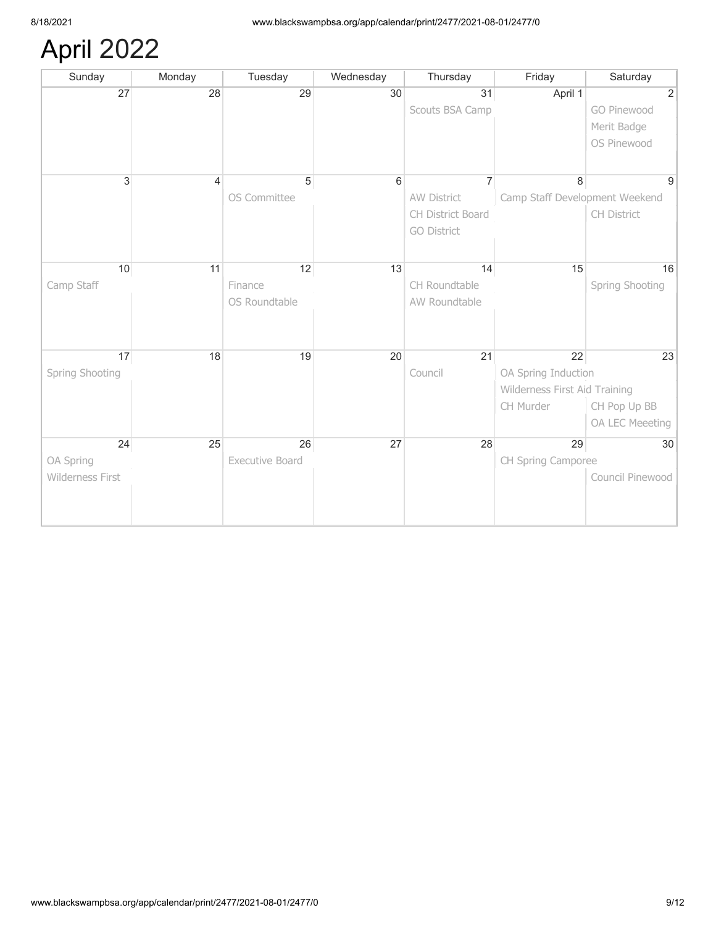# April 2022

| Sunday           | Monday | Tuesday         | Wednesday | Thursday           | Friday                         | Saturday         |
|------------------|--------|-----------------|-----------|--------------------|--------------------------------|------------------|
| 27               | 28     | 29              | 30        | 31                 | April 1                        | $\overline{2}$   |
|                  |        |                 |           | Scouts BSA Camp    |                                | GO Pinewood      |
|                  |        |                 |           |                    |                                | Merit Badge      |
|                  |        |                 |           |                    |                                | OS Pinewood      |
|                  |        |                 |           |                    |                                |                  |
| 3                | 4      | $\overline{5}$  | 6         | 7                  | 8                              | 9                |
|                  |        | OS Committee    |           | <b>AW District</b> | Camp Staff Development Weekend |                  |
|                  |        |                 |           | CH District Board  |                                | CH District      |
|                  |        |                 |           | <b>GO District</b> |                                |                  |
|                  |        |                 |           |                    |                                |                  |
|                  |        |                 |           |                    |                                |                  |
| 10               | 11     | 12              | 13        | 14                 | 15                             | 16               |
| Camp Staff       |        | Finance         |           | CH Roundtable      |                                | Spring Shooting  |
|                  |        | OS Roundtable   |           | AW Roundtable      |                                |                  |
|                  |        |                 |           |                    |                                |                  |
|                  |        |                 |           |                    |                                |                  |
| 17               | 18     | 19              | 20        | 21                 | 22                             | 23               |
| Spring Shooting  |        |                 |           | Council            | OA Spring Induction            |                  |
|                  |        |                 |           |                    | Wilderness First Aid Training  |                  |
|                  |        |                 |           |                    | CH Murder                      | CH Pop Up BB     |
|                  |        |                 |           |                    |                                | OA LEC Meeeting  |
| 24               | 25     | 26              | 27        | 28                 | 29                             | 30               |
| OA Spring        |        | Executive Board |           |                    | CH Spring Camporee             |                  |
| Wilderness First |        |                 |           |                    |                                | Council Pinewood |
|                  |        |                 |           |                    |                                |                  |
|                  |        |                 |           |                    |                                |                  |
|                  |        |                 |           |                    |                                |                  |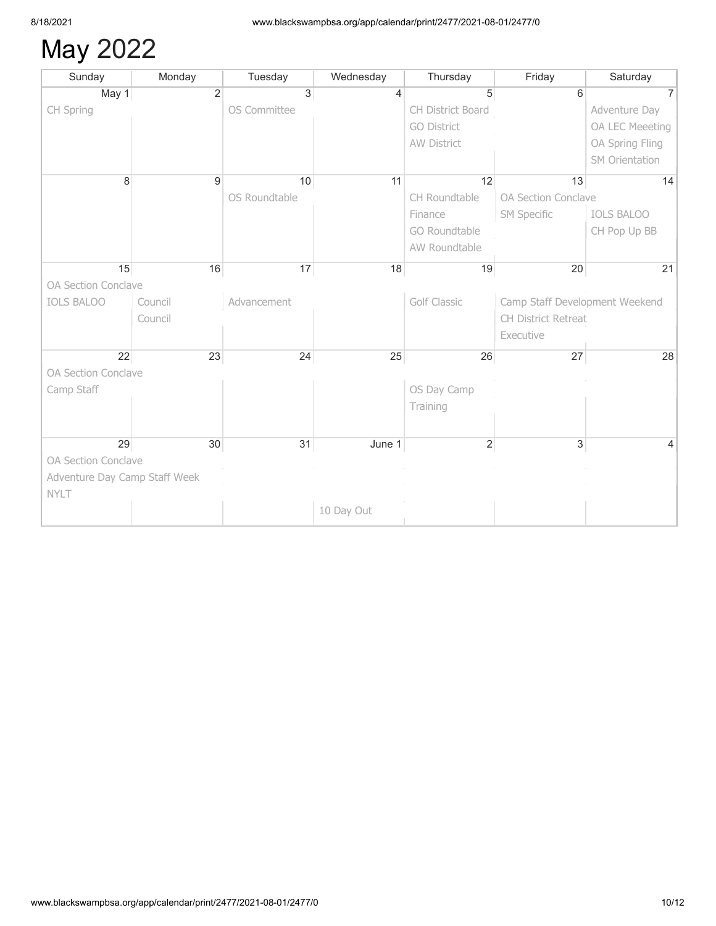# May 2022

| Sunday                        | Monday         | Tuesday       | Wednesday  | Thursday            | Friday                         | Saturday          |
|-------------------------------|----------------|---------------|------------|---------------------|--------------------------------|-------------------|
| May 1                         | $\overline{2}$ | $\mathbf{3}$  | 4          | 5                   | 6                              |                   |
| CH Spring                     |                | OS Committee  |            | CH District Board   |                                | Adventure Day     |
|                               |                |               |            | <b>GO District</b>  |                                | OA LEC Meeeting   |
|                               |                |               |            | AW District         |                                | OA Spring Fling   |
|                               |                |               |            |                     |                                | SM Orientation    |
| 8                             | 9              | 10            | 11         | 12                  | 13                             | 14                |
|                               |                | OS Roundtable |            | CH Roundtable       | OA Section Conclave            |                   |
|                               |                |               |            | Finance             | <b>SM Specific</b>             | <b>IOLS BALOO</b> |
|                               |                |               |            | GO Roundtable       |                                | CH Pop Up BB      |
|                               |                |               |            | AW Roundtable       |                                |                   |
| 15                            | 16             | 17            | 18         | 19                  | 20                             | 21                |
| OA Section Conclave           |                |               |            |                     |                                |                   |
| <b>IOLS BALOO</b>             | Council        | Advancement   |            | <b>Golf Classic</b> | Camp Staff Development Weekend |                   |
|                               | Council        |               |            |                     | CH District Retreat            |                   |
|                               |                |               |            |                     | Executive                      |                   |
| 22                            | 23             | 24            | 25         | 26                  | 27                             | 28                |
| OA Section Conclave           |                |               |            |                     |                                |                   |
| Camp Staff                    |                |               |            | OS Day Camp         |                                |                   |
|                               |                |               |            | Training            |                                |                   |
|                               |                |               |            |                     |                                |                   |
| 29                            | 30             | 31            | June 1     | $\overline{2}$      | $\overline{3}$                 |                   |
| OA Section Conclave           |                |               |            |                     |                                |                   |
| Adventure Day Camp Staff Week |                |               |            |                     |                                |                   |
| <b>NYLT</b>                   |                |               |            |                     |                                |                   |
|                               |                |               | 10 Day Out |                     |                                |                   |
|                               |                |               |            |                     |                                |                   |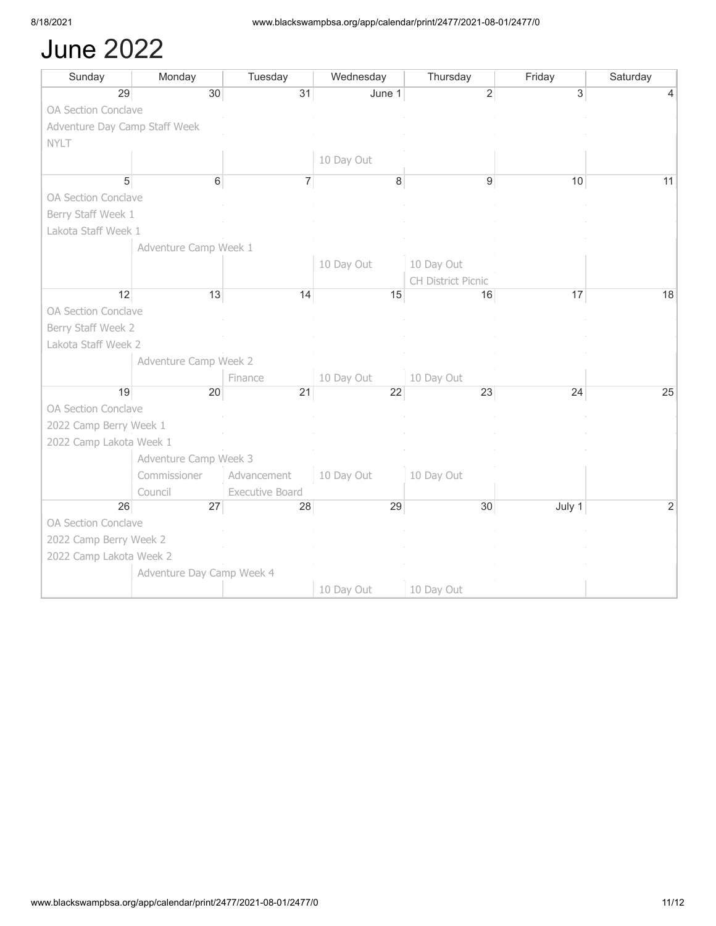#### June 2022

| Sunday                        | Monday                    | Tuesday                | Wednesday  | Thursday           | Friday | Saturday |
|-------------------------------|---------------------------|------------------------|------------|--------------------|--------|----------|
| 29                            | 30                        | 31                     | June 1     | $\overline{2}$     | 3      |          |
| OA Section Conclave           |                           |                        |            |                    |        |          |
| Adventure Day Camp Staff Week |                           |                        |            |                    |        |          |
| <b>NYLT</b>                   |                           |                        |            |                    |        |          |
|                               |                           |                        | 10 Day Out |                    |        |          |
| 5                             | 6                         | $\overline{7}$         | 8          | 9                  | 10     | 11       |
| OA Section Conclave           |                           |                        |            |                    |        |          |
| Berry Staff Week 1            |                           |                        |            |                    |        |          |
| Lakota Staff Week 1           |                           |                        |            |                    |        |          |
|                               | Adventure Camp Week 1     |                        |            |                    |        |          |
|                               |                           |                        | 10 Day Out | 10 Day Out         |        |          |
|                               |                           |                        |            | CH District Picnic |        |          |
| 12                            | 13                        | 14                     | 15         | 16                 | 17     | 18       |
| OA Section Conclave           |                           |                        |            |                    |        |          |
| Berry Staff Week 2            |                           |                        |            |                    |        |          |
| Lakota Staff Week 2           |                           |                        |            |                    |        |          |
|                               | Adventure Camp Week 2     |                        |            |                    |        |          |
|                               |                           | Finance                | 10 Day Out | 10 Day Out         |        |          |
| 19                            | 20                        | 21                     | 22         | 23                 | 24     | 25       |
| OA Section Conclave           |                           |                        |            |                    |        |          |
| 2022 Camp Berry Week 1        |                           |                        |            |                    |        |          |
| 2022 Camp Lakota Week 1       |                           |                        |            |                    |        |          |
|                               | Adventure Camp Week 3     |                        |            |                    |        |          |
|                               | Commissioner              | Advancement            | 10 Day Out | 10 Day Out         |        |          |
|                               | Council                   | <b>Executive Board</b> |            |                    |        |          |
| 26                            | 27                        | 28                     | 29         | 30                 | July 1 | 2        |
| OA Section Conclave           |                           |                        |            |                    |        |          |
| 2022 Camp Berry Week 2        |                           |                        |            |                    |        |          |
| 2022 Camp Lakota Week 2       |                           |                        |            |                    |        |          |
|                               | Adventure Day Camp Week 4 |                        |            |                    |        |          |
|                               |                           |                        | 10 Day Out | 10 Day Out         |        |          |